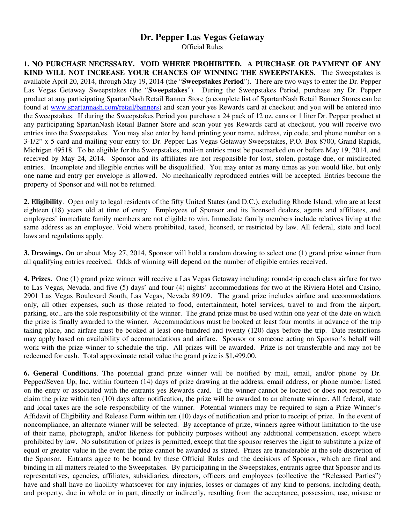## **Dr. Pepper Las Vegas Getaway**

Official Rules

**1. NO PURCHASE NECESSARY. VOID WHERE PROHIBITED. A PURCHASE OR PAYMENT OF ANY KIND WILL NOT INCREASE YOUR CHANCES OF WINNING THE SWEEPSTAKES.** The Sweepstakes is available April 20, 2014, through May 19, 2014 (the "**Sweepstakes Period**"). There are two ways to enter the Dr. Pepper Las Vegas Getaway Sweepstakes (the "**Sweepstakes**"). During the Sweepstakes Period, purchase any Dr. Pepper product at any participating SpartanNash Retail Banner Store (a complete list of SpartanNash Retail Banner Stores can be found at www.spartannash.com/retail/banners) and scan your yes Rewards card at checkout and you will be entered into the Sweepstakes. If during the Sweepstakes Period you purchase a 24 pack of 12 oz. cans or 1 liter Dr. Pepper product at any participating SpartanNash Retail Banner Store and scan your yes Rewards card at checkout, you will receive two entries into the Sweepstakes. You may also enter by hand printing your name, address, zip code, and phone number on a 3-1/2" x 5 card and mailing your entry to: Dr. Pepper Las Vegas Getaway Sweepstakes, P.O. Box 8700, Grand Rapids, Michigan 49518. To be eligible for the Sweepstakes, mail-in entries must be postmarked on or before May 19, 2014, and received by May 24, 2014. Sponsor and its affiliates are not responsible for lost, stolen, postage due, or misdirected entries.Incomplete and illegible entries will be disqualified. You may enter as many times as you would like, but only one name and entry per envelope is allowed. No mechanically reproduced entries will be accepted. Entries become the property of Sponsor and will not be returned.

**2. Eligibility**. Open only to legal residents of the fifty United States (and D.C.), excluding Rhode Island, who are at least eighteen (18) years old at time of entry. Employees of Sponsor and its licensed dealers, agents and affiliates, and employees' immediate family members are not eligible to win. Immediate family members include relatives living at the same address as an employee. Void where prohibited, taxed, licensed, or restricted by law. All federal, state and local laws and regulations apply.

**3. Drawings.** On or about May 27, 2014, Sponsor will hold a random drawing to select one (1) grand prize winner from all qualifying entries received. Odds of winning will depend on the number of eligible entries received.

**4. Prizes.** One (1) grand prize winner will receive a Las Vegas Getaway including: round-trip coach class airfare for two to Las Vegas, Nevada, and five (5) days' and four (4) nights' accommodations for two at the Riviera Hotel and Casino, 2901 Las Vegas Boulevard South, Las Vegas, Nevada 89109. The grand prize includes airfare and accommodations only, all other expenses, such as those related to food, entertainment, hotel services, travel to and from the airport, parking, etc., are the sole responsibility of the winner. The grand prize must be used within one year of the date on which the prize is finally awarded to the winner. Accommodations must be booked at least four months in advance of the trip taking place, and airfare must be booked at least one-hundred and twenty (120) days before the trip. Date restrictions may apply based on availability of accommodations and airfare. Sponsor or someone acting on Sponsor's behalf will work with the prize winner to schedule the trip. All prizes will be awarded. Prize is not transferable and may not be redeemed for cash. Total approximate retail value the grand prize is \$1,499.00.

**6. General Conditions**. The potential grand prize winner will be notified by mail, email, and/or phone by Dr. Pepper/Seven Up, Inc. within fourteen (14) days of prize drawing at the address, email address, or phone number listed on the entry or associated with the entrants yes Rewards card. If the winner cannot be located or does not respond to claim the prize within ten (10) days after notification, the prize will be awarded to an alternate winner. All federal, state and local taxes are the sole responsibility of the winner. Potential winners may be required to sign a Prize Winner's Affidavit of Eligibility and Release Form within ten (10) days of notification and prior to receipt of prize. In the event of noncompliance, an alternate winner will be selected. By acceptance of prize, winners agree without limitation to the use of their name, photograph, and/or likeness for publicity purposes without any additional compensation, except where prohibited by law. No substitution of prizes is permitted, except that the sponsor reserves the right to substitute a prize of equal or greater value in the event the prize cannot be awarded as stated. Prizes are transferable at the sole discretion of the Sponsor. Entrants agree to be bound by these Official Rules and the decisions of Sponsor, which are final and binding in all matters related to the Sweepstakes. By participating in the Sweepstakes, entrants agree that Sponsor and its representatives, agencies, affiliates, subsidiaries, directors, officers and employees (collective the "Released Parties") have and shall have no liability whatsoever for any injuries, losses or damages of any kind to persons, including death, and property, due in whole or in part, directly or indirectly, resulting from the acceptance, possession, use, misuse or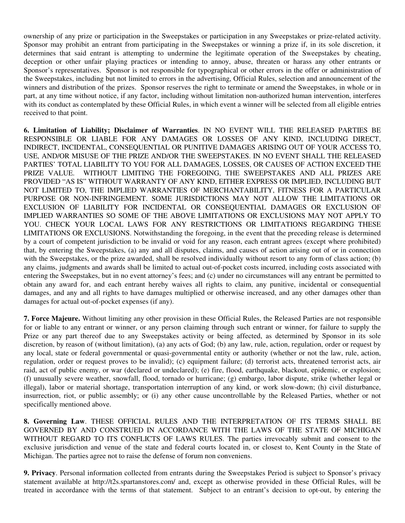ownership of any prize or participation in the Sweepstakes or participation in any Sweepstakes or prize-related activity. Sponsor may prohibit an entrant from participating in the Sweepstakes or winning a prize if, in its sole discretion, it determines that said entrant is attempting to undermine the legitimate operation of the Sweepstakes by cheating, deception or other unfair playing practices or intending to annoy, abuse, threaten or harass any other entrants or Sponsor's representatives. Sponsor is not responsible for typographical or other errors in the offer or administration of the Sweepstakes, including but not limited to errors in the advertising, Official Rules, selection and announcement of the winners and distribution of the prizes. Sponsor reserves the right to terminate or amend the Sweepstakes, in whole or in part, at any time without notice, if any factor, including without limitation non-authorized human intervention, interferes with its conduct as contemplated by these Official Rules, in which event a winner will be selected from all eligible entries received to that point.

**6. Limitation of Liability; Disclaimer of Warranties**. IN NO EVENT WILL THE RELEASED PARTIES BE RESPONSIBLE OR LIABLE FOR ANY DAMAGES OR LOSSES OF ANY KIND, INCLUDING DIRECT, INDIRECT, INCIDENTAL, CONSEQUENTIAL OR PUNITIVE DAMAGES ARISING OUT OF YOUR ACCESS TO, USE, AND/OR MISUSE OF THE PRIZE AND/OR THE SWEEPSTAKES. IN NO EVENT SHALL THE RELEASED PARTIES' TOTAL LIABILITY TO YOU FOR ALL DAMAGES, LOSSES, OR CAUSES OF ACTION EXCEED THE PRIZE VALUE. WITHOUT LIMITING THE FOREGOING, THE SWEEPSTAKES AND ALL PRIZES ARE PROVIDED "AS IS" WITHOUT WARRANTY OF ANY KIND, EITHER EXPRESS OR IMPLIED, INCLUDING BUT NOT LIMITED TO, THE IMPLIED WARRANTIES OF MERCHANTABILITY, FITNESS FOR A PARTICULAR PURPOSE OR NON-INFRINGEMENT. SOME JURISDICTIONS MAY NOT ALLOW THE LIMITATIONS OR EXCLUSION OF LIABILITY FOR INCIDENTAL OR CONSEQUENTIAL DAMAGES OR EXCLUSION OF IMPLIED WARRANTIES SO SOME OF THE ABOVE LIMITATIONS OR EXCLUSIONS MAY NOT APPLY TO YOU. CHECK YOUR LOCAL LAWS FOR ANY RESTRICTIONS OR LIMITATIONS REGARDING THESE LIMITATIONS OR EXCLUSIONS. Notwithstanding the foregoing, in the event that the preceding release is determined by a court of competent jurisdiction to be invalid or void for any reason, each entrant agrees (except where prohibited) that, by entering the Sweepstakes, (a) any and all disputes, claims, and causes of action arising out of or in connection with the Sweepstakes, or the prize awarded, shall be resolved individually without resort to any form of class action; (b) any claims, judgments and awards shall be limited to actual out-of-pocket costs incurred, including costs associated with entering the Sweepstakes, but in no event attorney's fees; and (c) under no circumstances will any entrant be permitted to obtain any award for, and each entrant hereby waives all rights to claim, any punitive, incidental or consequential damages, and any and all rights to have damages multiplied or otherwise increased, and any other damages other than damages for actual out-of-pocket expenses (if any).

**7. Force Majeure.** Without limiting any other provision in these Official Rules, the Released Parties are not responsible for or liable to any entrant or winner, or any person claiming through such entrant or winner, for failure to supply the Prize or any part thereof due to any Sweepstakes activity or being affected, as determined by Sponsor in its sole discretion, by reason of (without limitation), (a) any acts of God; (b) any law, rule, action, regulation, order or request by any local, state or federal governmental or quasi-governmental entity or authority (whether or not the law, rule, action, regulation, order or request proves to be invalid); (c) equipment failure; (d) terrorist acts, threatened terrorist acts, air raid, act of public enemy, or war (declared or undeclared); (e) fire, flood, earthquake, blackout, epidemic, or explosion; (f) unusually severe weather, snowfall, flood, tornado or hurricane; (g) embargo, labor dispute, strike (whether legal or illegal), labor or material shortage, transportation interruption of any kind, or work slow-down; (h) civil disturbance, insurrection, riot, or public assembly; or (i) any other cause uncontrollable by the Released Parties, whether or not specifically mentioned above.

**8. Governing Law**. THESE OFFICIAL RULES AND THE INTERPRETATION OF ITS TERMS SHALL BE GOVERNED BY AND CONSTRUED IN ACCORDANCE WITH THE LAWS OF THE STATE OF MICHIGAN WITHOUT REGARD TO ITS CONFLICTS OF LAWS RULES. The parties irrevocably submit and consent to the exclusive jurisdiction and venue of the state and federal courts located in, or closest to, Kent County in the State of Michigan. The parties agree not to raise the defense of forum non conveniens.

**9. Privacy**. Personal information collected from entrants during the Sweepstakes Period is subject to Sponsor's privacy statement available at http://t2s.spartanstores.com/ and, except as otherwise provided in these Official Rules, will be treated in accordance with the terms of that statement. Subject to an entrant's decision to opt-out, by entering the